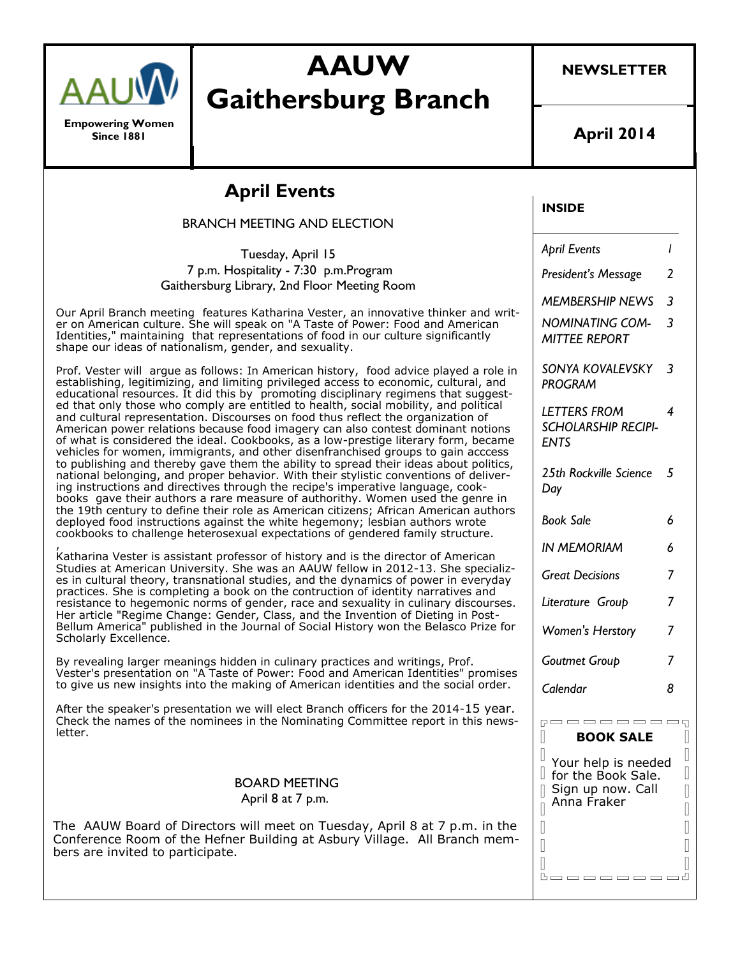

**Empowering Women Since 1881**

# **AAUW Gaithersburg Branch**

**NEWSLETTER**

**April 2014**

# **April Events**

BRANCH MEETING AND ELECTION

Tuesday, April 15 7 p.m. Hospitality - 7:30 p.m.Program Gaithersburg Library, 2nd Floor Meeting Room

Our April Branch meeting features Katharina Vester, an innovative thinker and writer on American culture. She will speak on "A Taste of Power: Food and American Identities," maintaining that representations of food in our culture significantly shape our ideas of nationalism, gender, and sexuality.

Prof. Vester will argue as follows: In American history, food advice played a role in establishing, legitimizing, and limiting privileged access to economic, cultural, and educational resources. It did this by promoting disciplinary regimens that suggested that only those who comply are entitled to health, social mobility, and political and cultural representation. Discourses on food thus reflect the organization of American power relations because food imagery can also contest dominant notions of what is considered the ideal. Cookbooks, as a low-prestige literary form, became vehicles for women, immigrants, and other disenfranchised groups to gain acccess to publishing and thereby gave them the ability to spread their ideas about politics, national belonging, and proper behavior. With their stylistic conventions of delivering instructions and directives through the recipe's imperative language, cookbooks gave their authors a rare measure of authorithy. Women used the genre in the 19th century to define their role as American citizens; African American authors deployed food instructions against the white hegemony; lesbian authors wrote cookbooks to challenge heterosexual expectations of gendered family structure.

, Katharina Vester is assistant professor of history and is the director of American Studies at American University. She was an AAUW fellow in 2012-13. She specializes in cultural theory, transnational studies, and the dynamics of power in everyday practices. She is completing a book on the contruction of identity narratives and resistance to hegemonic norms of gender, race and sexuality in culinary discourses. Her article "Regime Change: Gender, Class, and the Invention of Dieting in Post-Bellum America" published in the Journal of Social History won the Belasco Prize for Scholarly Excellence.

By revealing larger meanings hidden in culinary practices and writings, Prof. Vester's presentation on "A Taste of Power: Food and American Identities" promises to give us new insights into the making of American identities and the social order.

After the speaker's presentation we will elect Branch officers for the 2014-15 year. Check the names of the nominees in the Nominating Committee report in this newsletter.

#### BOARD MEETING April 8 at 7 p.m.

The AAUW Board of Directors will meet on Tuesday, April 8 at 7 p.m. in the Conference Room of the Hefner Building at Asbury Village. All Branch members are invited to participate.

### **INSIDE**

*April Events 1 President's Message 2 MEMBERSHIP NEWS 3 NOMINATING COM-MITTEE REPORT 3 SONYA KOVALEVSKY PROGRAM 3 LETTERS FROM SCHOLARSHIP RECIPI-ENTS 4 25th Rockville Science 5 Day Book Sale 6 IN MEMORIAM 6 Great Decisions Literature Group 7 Women's Herstory 7 Goutmet Group 7 Calendar 8*

#### pooooooooq **BOOK SALE**

П

 $\mathbb \Pi$ 

I

 $\overline{\mathbb{I}}$ 

 $\begin{array}{c} \end{array}$ 

 $\begin{array}{c} \end{array}$  $\begin{matrix} \end{matrix}$  $\begin{array}{c} \end{array}$ 

> $\begin{array}{c} \end{array}$  $\begin{array}{c} \hline \end{array}$

> $\begin{array}{c} \hline \end{array}$

Your help is needed  $\mathbb I$  for the Book Sale.  $\parallel$  Sign up now. Call Anna Fraker

**Booooooo**d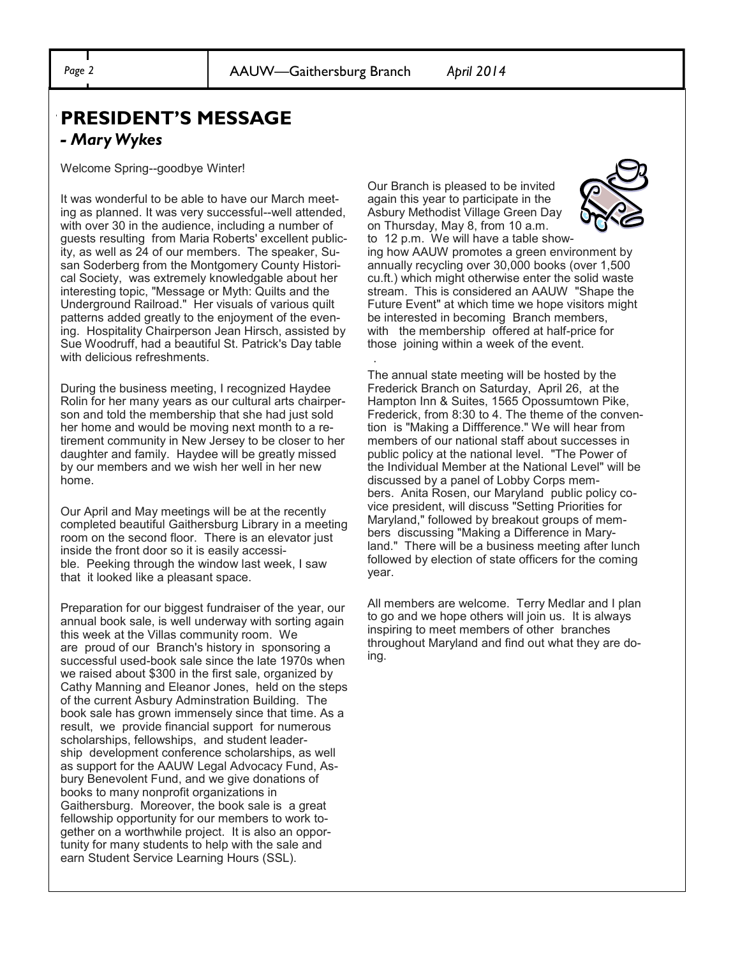### "**PRESIDENT'S MESSAGE**  *- Mary Wykes*

Welcome Spring--goodbye Winter!

It was wonderful to be able to have our March meeting as planned. It was very successful--well attended, with over 30 in the audience, including a number of guests resulting from Maria Roberts' excellent publicity, as well as 24 of our members. The speaker, Susan Soderberg from the Montgomery County Historical Society, was extremely knowledgable about her interesting topic, "Message or Myth: Quilts and the Underground Railroad." Her visuals of various quilt patterns added greatly to the enjoyment of the evening. Hospitality Chairperson Jean Hirsch, assisted by Sue Woodruff, had a beautiful St. Patrick's Day table with delicious refreshments.

During the business meeting, I recognized Haydee Rolin for her many years as our cultural arts chairperson and told the membership that she had just sold her home and would be moving next month to a retirement community in New Jersey to be closer to her daughter and family. Haydee will be greatly missed by our members and we wish her well in her new home.

Our April and May meetings will be at the recently completed beautiful Gaithersburg Library in a meeting room on the second floor. There is an elevator just inside the front door so it is easily accessible. Peeking through the window last week, I saw that it looked like a pleasant space.

Preparation for our biggest fundraiser of the year, our annual book sale, is well underway with sorting again this week at the Villas community room. We are proud of our Branch's history in sponsoring a successful used-book sale since the late 1970s when we raised about \$300 in the first sale, organized by Cathy Manning and Eleanor Jones, held on the steps of the current Asbury Adminstration Building. The book sale has grown immensely since that time. As a result, we provide financial support for numerous scholarships, fellowships, and student leadership development conference scholarships, as well as support for the AAUW Legal Advocacy Fund, Asbury Benevolent Fund, and we give donations of books to many nonprofit organizations in Gaithersburg. Moreover, the book sale is a great fellowship opportunity for our members to work together on a worthwhile project. It is also an opportunity for many students to help with the sale and earn Student Service Learning Hours (SSL).

Our Branch is pleased to be invited again this year to participate in the Asbury Methodist Village Green Day on Thursday, May 8, from 10 a.m.



to 12 p.m. We will have a table showing how AAUW promotes a green environment by annually recycling over 30,000 books (over 1,500 cu.ft.) which might otherwise enter the solid waste stream. This is considered an AAUW "Shape the Future Event" at which time we hope visitors might be interested in becoming Branch members, with the membership offered at half-price for those joining within a week of the event. .

The annual state meeting will be hosted by the Frederick Branch on Saturday, April 26, at the Hampton Inn & Suites, 1565 Opossumtown Pike, Frederick, from 8:30 to 4. The theme of the convention is "Making a Diffference." We will hear from members of our national staff about successes in public policy at the national level. "The Power of the Individual Member at the National Level" will be discussed by a panel of Lobby Corps members. Anita Rosen, our Maryland public policy covice president, will discuss "Setting Priorities for Maryland," followed by breakout groups of members discussing "Making a Difference in Maryland." There will be a business meeting after lunch followed by election of state officers for the coming year.

All members are welcome. Terry Medlar and I plan to go and we hope others will join us. It is always inspiring to meet members of other branches throughout Maryland and find out what they are doing.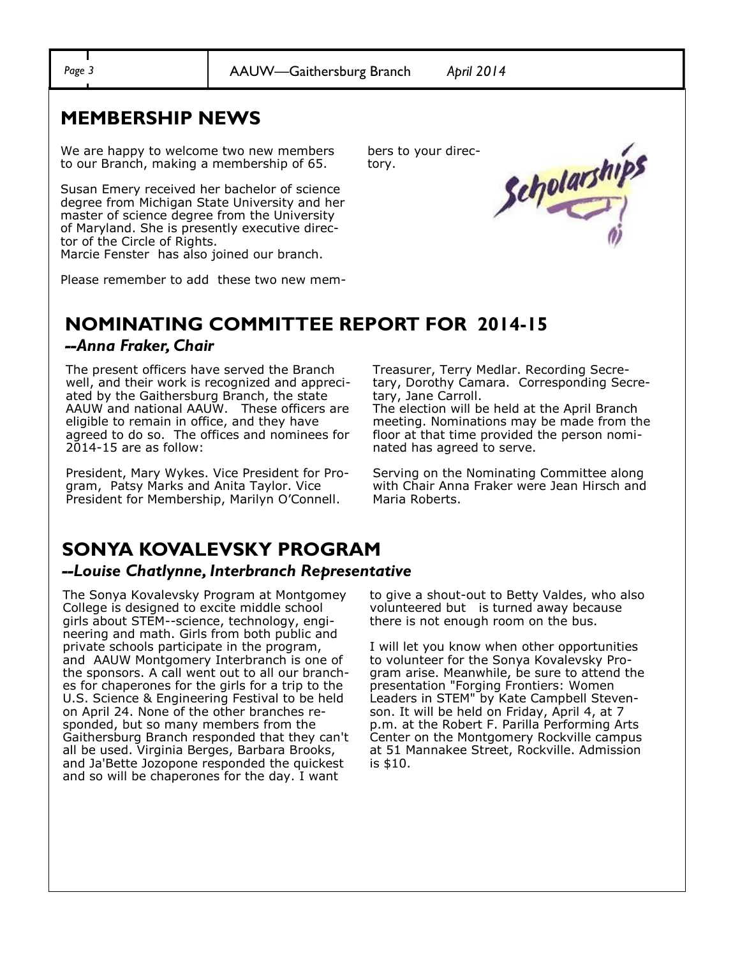*Page 3* AAUW—Gaithersburg Branch *April 2014*

tory.

## **MEMBERSHIP NEWS**

We are happy to welcome two new members to our Branch, making a membership of 65.

Susan Emery received her bachelor of science degree from Michigan State University and her master of science degree from the University of Maryland. She is presently executive director of the Circle of Rights.

Marcie Fenster has also joined our branch.

Please remember to add these two new mem-

# **NOMINATING COMMITTEE REPORT FOR 2014-15**

#### *--Anna Fraker, Chair*

The present officers have served the Branch well, and their work is recognized and appreciated by the Gaithersburg Branch, the state AAUW and national AAUW. These officers are eligible to remain in office, and they have agreed to do so. The offices and nominees for 2014-15 are as follow:

President, Mary Wykes. Vice President for Program, Patsy Marks and Anita Taylor. Vice President for Membership, Marilyn O'Connell.

Treasurer, Terry Medlar. Recording Secretary, Dorothy Camara. Corresponding Secretary, Jane Carroll.

The election will be held at the April Branch meeting. Nominations may be made from the floor at that time provided the person nominated has agreed to serve.

Serving on the Nominating Committee along with Chair Anna Fraker were Jean Hirsch and Maria Roberts.

## **SONYA KOVALEVSKY PROGRAM**

#### *--Louise Chatlynne, Interbranch Representative*

The Sonya Kovalevsky Program at Montgomey College is designed to excite middle school girls about STEM--science, technology, engineering and math. Girls from both public and private schools participate in the program, and AAUW Montgomery Interbranch is one of the sponsors. A call went out to all our branches for chaperones for the girls for a trip to the U.S. Science & Engineering Festival to be held on April 24. None of the other branches responded, but so many members from the Gaithersburg Branch responded that they can't all be used. Virginia Berges, Barbara Brooks, and Ja'Bette Jozopone responded the quickest and so will be chaperones for the day. I want

to give a shout-out to Betty Valdes, who also volunteered but is turned away because there is not enough room on the bus.

I will let you know when other opportunities to volunteer for the Sonya Kovalevsky Program arise. Meanwhile, be sure to attend the presentation "Forging Frontiers: Women Leaders in STEM" by Kate Campbell Stevenson. It will be held on Friday, April 4, at 7 p.m. at the Robert F. Parilla Performing Arts Center on the Montgomery Rockville campus at 51 Mannakee Street, Rockville. Admission is \$10.

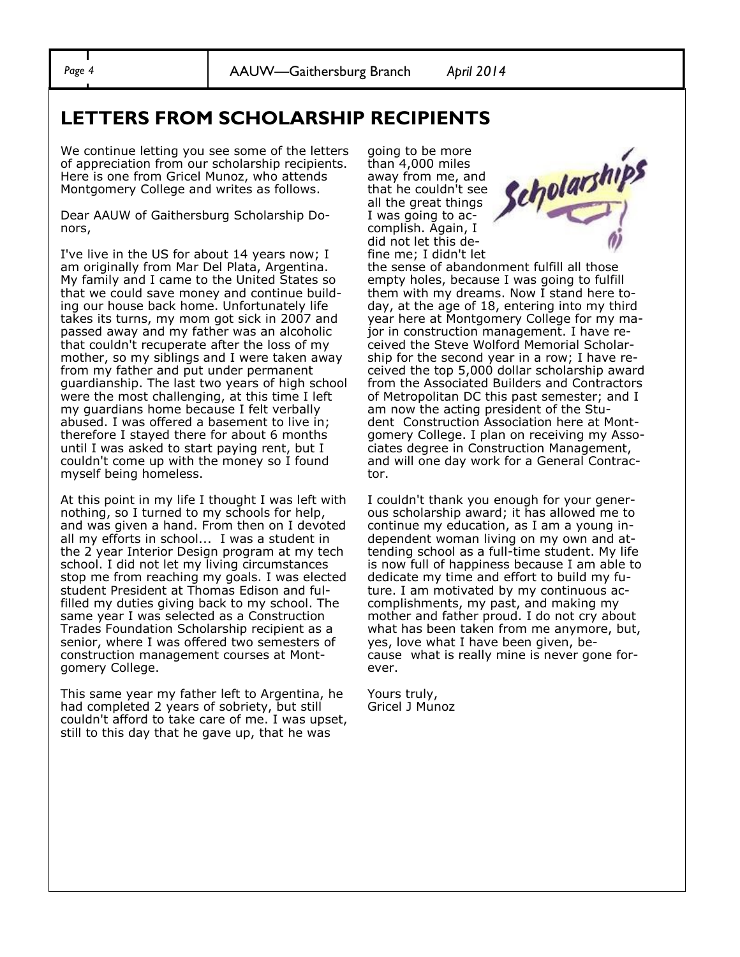### **LETTERS FROM SCHOLARSHIP RECIPIENTS**

We continue letting you see some of the letters of appreciation from our scholarship recipients. Here is one from Gricel Munoz, who attends Montgomery College and writes as follows.

Dear AAUW of Gaithersburg Scholarship Donors,

I've live in the US for about 14 years now; I am originally from Mar Del Plata, Argentina. My family and I came to the United States so that we could save money and continue building our house back home. Unfortunately life takes its turns, my mom got sick in 2007 and passed away and my father was an alcoholic that couldn't recuperate after the loss of my mother, so my siblings and I were taken away from my father and put under permanent guardianship. The last two years of high school were the most challenging, at this time I left my guardians home because I felt verbally abused. I was offered a basement to live in; therefore I stayed there for about 6 months until I was asked to start paying rent, but I couldn't come up with the money so I found myself being homeless.

At this point in my life I thought I was left with nothing, so I turned to my schools for help, and was given a hand. From then on I devoted all my efforts in school... I was a student in the 2 year Interior Design program at my tech school. I did not let my living circumstances stop me from reaching my goals. I was elected student President at Thomas Edison and fulfilled my duties giving back to my school. The same year I was selected as a Construction Trades Foundation Scholarship recipient as a senior, where I was offered two semesters of construction management courses at Montgomery College.

This same year my father left to Argentina, he had completed 2 years of sobriety, but still couldn't afford to take care of me. I was upset, still to this day that he gave up, that he was

going to be more than 4,000 miles away from me, and that he couldn't see all the great things I was going to accomplish. Again, I did not let this define me; I didn't let



the sense of abandonment fulfill all those empty holes, because I was going to fulfill them with my dreams. Now I stand here today, at the age of 18, entering into my third year here at Montgomery College for my major in construction management. I have received the Steve Wolford Memorial Scholarship for the second year in a row; I have received the top 5,000 dollar scholarship award from the Associated Builders and Contractors of Metropolitan DC this past semester; and I am now the acting president of the Student Construction Association here at Montgomery College. I plan on receiving my Associates degree in Construction Management, and will one day work for a General Contractor.

I couldn't thank you enough for your generous scholarship award; it has allowed me to continue my education, as I am a young independent woman living on my own and attending school as a full-time student. My life is now full of happiness because I am able to dedicate my time and effort to build my future. I am motivated by my continuous accomplishments, my past, and making my mother and father proud. I do not cry about what has been taken from me anymore, but, yes, love what I have been given, because what is really mine is never gone forever.

Yours truly, Gricel J Munoz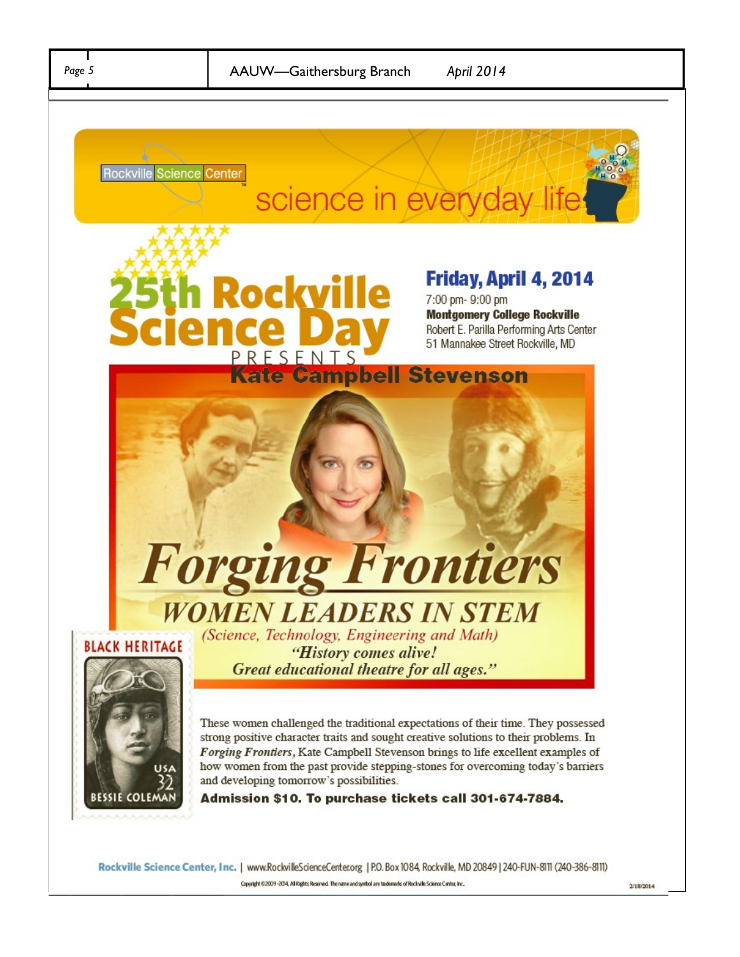le

**Kate Campbell Stevenson** 

ockvi

PRFSFNT





# Friday, April 4, 2014

7:00 pm- 9:00 pm **Montgomery College Rockville** Robert E. Parilla Performing Arts Center 51 Mannakee Street Rockville, MD







"History comes alive! Great educational theatre for all ages."

These women challenged the traditional expectations of their time. They possessed strong positive character traits and sought creative solutions to their problems. In Forging Frontiers, Kate Campbell Stevenson brings to life excellent examples of how women from the past provide stepping-stones for overcoming today's barriers and developing tomorrow's possibilities.

Admission \$10. To purchase tickets call 301-674-7884.

Rockville Science Center, Inc. | www.RockvilleScienceCenter.org | P.O. Box 1084, Rockville, MD 20849 | 240-FUN-8111 (240-386-8111) Copyright ©2009-2014, AIR ights Reserved. The name and symbol are taxdemarks of Rockville Science Center, Inc..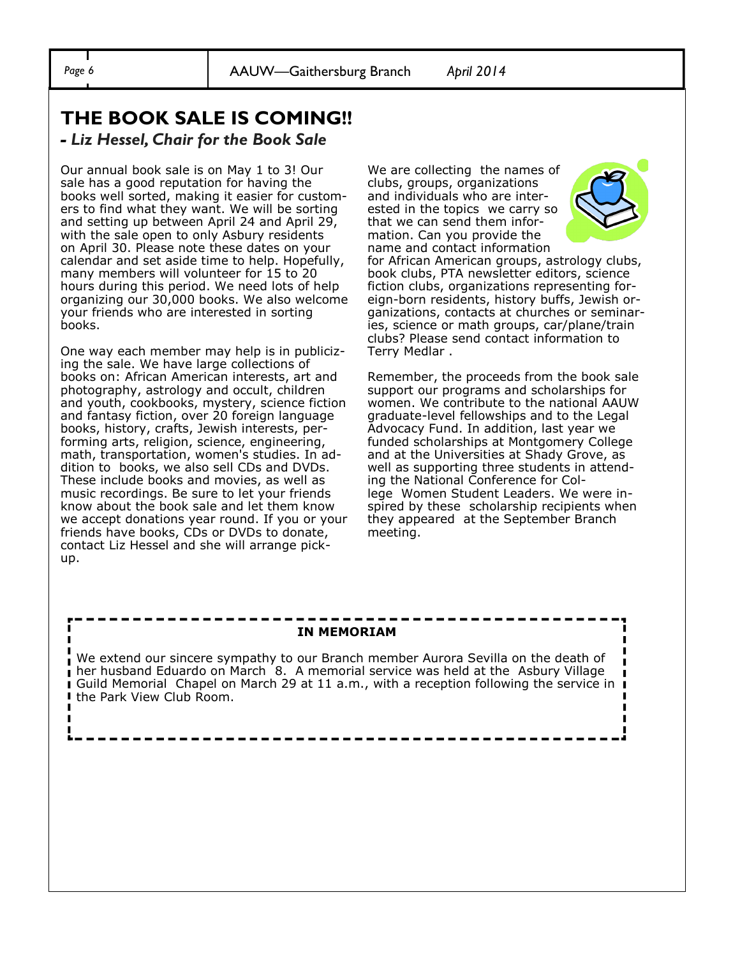ш

# **THE BOOK SALE IS COMING!!**

#### *- Liz Hessel, Chair for the Book Sale*

Our annual book sale is on May 1 to 3! Our sale has a good reputation for having the books well sorted, making it easier for customers to find what they want. We will be sorting and setting up between April 24 and April 29, with the sale open to only Asbury residents on April 30. Please note these dates on your calendar and set aside time to help. Hopefully, many members will volunteer for 15 to 20 hours during this period. We need lots of help organizing our 30,000 books. We also welcome your friends who are interested in sorting books.

One way each member may help is in publicizing the sale. We have large collections of books on: African American interests, art and photography, astrology and occult, children and youth, cookbooks, mystery, science fiction and fantasy fiction, over 20 foreign language books, history, crafts, Jewish interests, performing arts, religion, science, engineering, math, transportation, women's studies. In addition to books, we also sell CDs and DVDs. These include books and movies, as well as music recordings. Be sure to let your friends know about the book sale and let them know we accept donations year round. If you or your friends have books, CDs or DVDs to donate, contact Liz Hessel and she will arrange pickup.

We are collecting the names of clubs, groups, organizations and individuals who are interested in the topics we carry so that we can send them information. Can you provide the name and contact information



for African American groups, astrology clubs, book clubs, PTA newsletter editors, science fiction clubs, organizations representing foreign-born residents, history buffs, Jewish organizations, contacts at churches or seminaries, science or math groups, car/plane/train clubs? Please send contact information to Terry Medlar .

Remember, the proceeds from the book sale support our programs and scholarships for women. We contribute to the national AAUW graduate-level fellowships and to the Legal Advocacy Fund. In addition, last year we funded scholarships at Montgomery College and at the Universities at Shady Grove, as well as supporting three students in attending the National Conference for College Women Student Leaders. We were inspired by these scholarship recipients when they appeared at the September Branch meeting.

#### **IN MEMORIAM**

We extend our sincere sympathy to our Branch member Aurora Sevilla on the death of п **her husband Eduardo on March 8.** A memorial service was held at the Asbury Village **I** Guild Memorial Chapel on March 29 at 11 a.m., with a reception following the service in I  $\blacksquare$ the Park View Club Room.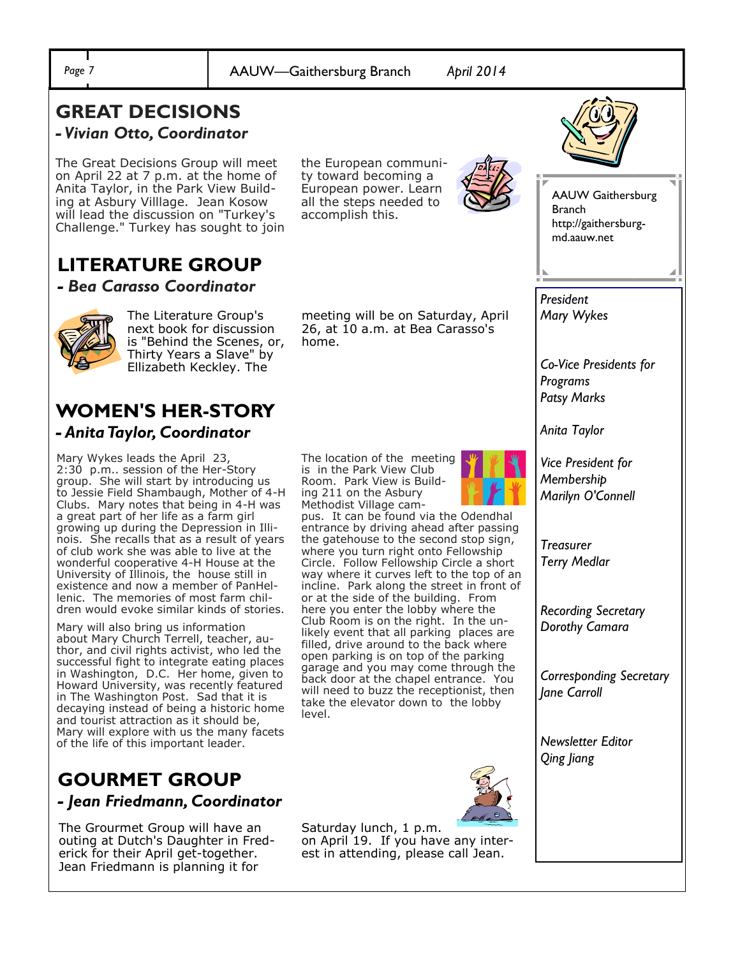#### **GREAT DECISIONS**  *- Vivian Otto, Coordinator*

The Great Decisions Group will meet on April 22 at 7 p.m. at the home of Anita Taylor, in the Park View Building at Asbury Villlage. Jean Kosow will lead the discussion on "Turkey's Challenge." Turkey has sought to join the European community toward becoming a European power. Learn all the steps needed to accomplish this.



AAUW Gaithersburg Branch http://gaithersburgmd.aauw.net

*Co-Vice Presidents for* 

*President Mary Wykes*

*Programs Patsy Marks* 

*Anita Taylor*

**LITERATURE GROUP** *- Bea Carasso Coordinator*



The Literature Group's next book for discussion is "Behind the Scenes, or, Thirty Years a Slave" by Ellizabeth Keckley. The

# **WOMEN'S HER-STORY**

*- Anita Taylor, Coordinator* 

Mary Wykes leads the April 23, 2:30 p.m.. session of the Her-Story group. She will start by introducing us to Jessie Field Shambaugh, Mother of 4-H Clubs. Mary notes that being in 4-H was a great part of her life as a farm girl growing up during the Depression in Illinois. She recalls that as a result of years of club work she was able to live at the wonderful cooperative 4-H House at the University of Illinois, the house still in existence and now a member of PanHellenic. The memories of most farm children would evoke similar kinds of stories.

Mary will also bring us information about Mary Church Terrell, teacher, author, and civil rights activist, who led the successful fight to integrate eating places in Washington, D.C. Her home, given to Howard University, was recently featured in The Washington Post. Sad that it is decaying instead of being a historic home and tourist attraction as it should be, Mary will explore with us the many facets of the life of this important leader.

## **GOURMET GROUP** *- Jean Friedmann, Coordinator*

The Grourmet Group will have an outing at Dutch's Daughter in Frederick for their April get-together. Jean Friedmann is planning it for

meeting will be on Saturday, April 26, at 10 a.m. at Bea Carasso's home.

The location of the meeting is in the Park View Club Room. Park View is Building 211 on the Asbury Methodist Village cam-

pus. It can be found via the Odendhal entrance by driving ahead after passing the gatehouse to the second stop sign, where you turn right onto Fellowship Circle. Follow Fellowship Circle a short way where it curves left to the top of an incline. Park along the street in front of or at the side of the building. From here you enter the lobby where the Club Room is on the right. In the unlikely event that all parking places are filled, drive around to the back where open parking is on top of the parking garage and you may come through the back door at the chapel entrance. You will need to buzz the receptionist, then take the elevator down to the lobby level.





*Treasurer* 

*Terry Medlar* 

*Recording Secretary Dorothy Camara*

*Corresponding Secretary Jane Carroll* 

*Newsletter Editor Qing Jiang*



Saturday lunch, 1 p.m. on April 19. If you have any interest in attending, please call Jean.